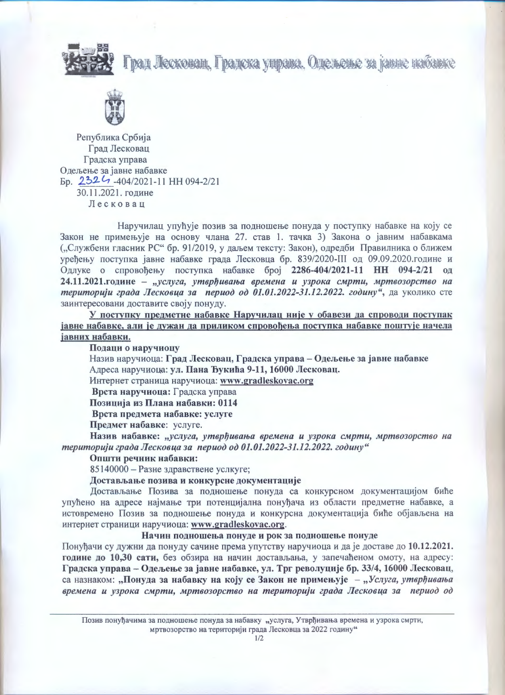Град Лескован, Градска управа. Одељење за јавне набавке





Република Србија Град Лесковац Градска управа Одељење за јавне набавке Ep. 2324-404/2021-11 HH 094-2/21 30.11.2021. године Лесковац

Наручилац упућује позив за подношење понуда у поступку набавке на коју се Закон не примењује на основу члана 27. став 1. тачка 3) Закона о јавним набавкама ("Службени гласник РС" бр. 91/2019, у даљем тексту: Закон), одредби Правилника о ближем уређењу поступка јавне набавке града Лесковца бр. 839/2020-III од 09.09.2020.године и Одлуке о спровођењу поступка набавке број 2286-404/2021-11 НН 094-2/21 од 24.11.2021.године - "услуга, утврђивања времена и узрока смрти, мртвозорство на територији града Лесковца за период од 01.01.2022-31.12.2022. годину", да уколико сте заинтересовани доставите своју понуду.

У поступку предметне набавке Наручилац није у обавези да спроводи поступак јавне набавке, али је дужан да приликом спровођења поступка набавке поштује начела јавних набавки.

Подаци о наручиоцу

Назив наручиоца: Град Лесковац, Градска управа – Одељење за јавне набавке Адреса наручиоца: ул. Пана Ђукића 9-11, 16000 Лесковац.

Интернет страница наручиоца: www.gradleskovac.org

Врста наручиоца: Градска управа

Позиција из Плана набавки: 0114

Врста предмета набавке: услуге

Предмет набавке: услуге.

Назив набавке: "услуга, утврђивања времена и узрока смрти, мртвозорство на територији града Лесковца за период од 01.01.2022-31.12.2022. годину"

## Општи речник набавки:

85140000 - Разне здравствене услкуге;

Достављање позива и конкурсне документације

Достављање Позива за подношење понуда са конкурсном документацијом биће упућено на адресе најмање три потенцијална понуђача из области предметне набавке, а истовремено Позив за подношење понуда и конкурсна документација биће објављена на интернет страници наручиоца: www.gradleskovac.org.

Начин подношења понуде и рок за подношење понуде

Понуђачи су дужни да понуду сачине према упутству наручиоца и да је доставе до 10.12.2021. године до 10,30 сати, без обзира на начин достављања, у запечаћеном омоту, на адресу: Градска управа - Одељење за јавне набавке, ул. Трг револуције бр. 33/4, 16000 Лесковац, са назнаком: "Понуда за набавку на коју се Закон не примењује - "Услуга, утврђивања времена и узрока смрти, мртвозорство на територији града Лесковца за период од

Позив понуђачима за подношење понуда за набавку "услуга, Утврђивања времена и узрока смрти, мртвозорство на територији града Лесковца за 2022 годину"